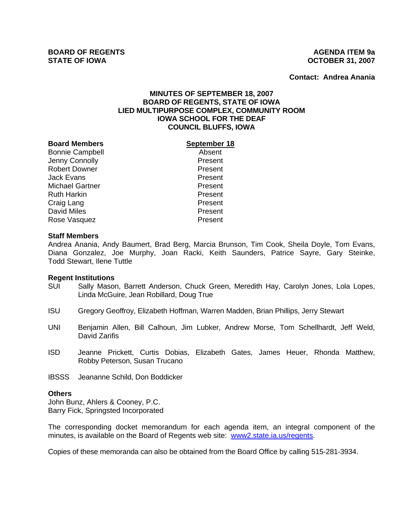**Contact: Andrea Anania**

# **MINUTES OF SEPTEMBER 18, 2007 BOARD OF REGENTS, STATE OF IOWA LIED MULTIPURPOSE COMPLEX, COMMUNITY ROOM IOWA SCHOOL FOR THE DEAF COUNCIL BLUFFS, IOWA**

#### **Board Members September 18**

Bonnie Campbell **Absent** Jenny Connolly **Present** Robert Downer **Present** Jack Evans Present Michael Gartner **Present** Ruth Harkin **Present** Craig Lang **Present** David Miles **Present** Rose Vasquez **Present** 

## **Staff Members**

Andrea Anania, Andy Baumert, Brad Berg, Marcia Brunson, Tim Cook, Sheila Doyle, Tom Evans, Diana Gonzalez, Joe Murphy, Joan Racki, Keith Saunders, Patrice Sayre, Gary Steinke, Todd Stewart, Ilene Tuttle

#### **Regent Institutions**

- SUI Sally Mason, Barrett Anderson, Chuck Green, Meredith Hay, Carolyn Jones, Lola Lopes, Linda McGuire, Jean Robillard, Doug True
- ISU Gregory Geoffroy, Elizabeth Hoffman, Warren Madden, Brian Phillips, Jerry Stewart
- UNI Benjamin Allen, Bill Calhoun, Jim Lubker, Andrew Morse, Tom Schellhardt, Jeff Weld, David Zarifis
- ISD Jeanne Prickett, Curtis Dobias, Elizabeth Gates, James Heuer, Rhonda Matthew, Robby Peterson, Susan Trucano
- IBSSS Jeananne Schild, Don Boddicker

#### **Others**

John Bunz, Ahlers & Cooney, P.C. Barry Fick, Springsted Incorporated

The corresponding docket memorandum for each agenda item, an integral component of the minutes, is available on the Board of Regents web site: www2.state.ia.us/regents.

Copies of these memoranda can also be obtained from the Board Office by calling 515-281-3934.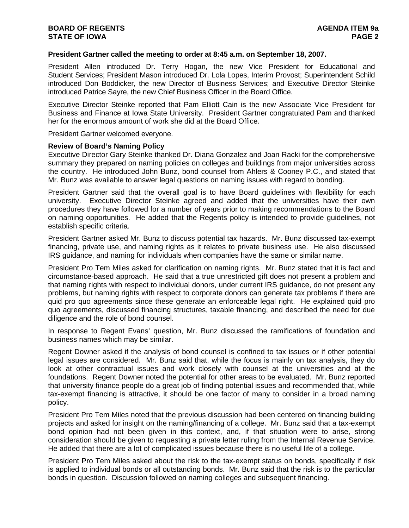## **President Gartner called the meeting to order at 8:45 a.m. on September 18, 2007.**

President Allen introduced Dr. Terry Hogan, the new Vice President for Educational and Student Services; President Mason introduced Dr. Lola Lopes, Interim Provost; Superintendent Schild introduced Don Boddicker, the new Director of Business Services; and Executive Director Steinke introduced Patrice Sayre, the new Chief Business Officer in the Board Office.

Executive Director Steinke reported that Pam Elliott Cain is the new Associate Vice President for Business and Finance at Iowa State University. President Gartner congratulated Pam and thanked her for the enormous amount of work she did at the Board Office.

President Gartner welcomed everyone.

## **Review of Board's Naming Policy**

Executive Director Gary Steinke thanked Dr. Diana Gonzalez and Joan Racki for the comprehensive summary they prepared on naming policies on colleges and buildings from major universities across the country. He introduced John Bunz, bond counsel from Ahlers & Cooney P.C., and stated that Mr. Bunz was available to answer legal questions on naming issues with regard to bonding.

President Gartner said that the overall goal is to have Board guidelines with flexibility for each university. Executive Director Steinke agreed and added that the universities have their own procedures they have followed for a number of years prior to making recommendations to the Board on naming opportunities. He added that the Regents policy is intended to provide guidelines, not establish specific criteria.

President Gartner asked Mr. Bunz to discuss potential tax hazards. Mr. Bunz discussed tax-exempt financing, private use, and naming rights as it relates to private business use. He also discussed IRS guidance, and naming for individuals when companies have the same or similar name.

President Pro Tem Miles asked for clarification on naming rights. Mr. Bunz stated that it is fact and circumstance-based approach. He said that a true unrestricted gift does not present a problem and that naming rights with respect to individual donors, under current IRS guidance, do not present any problems, but naming rights with respect to corporate donors can generate tax problems if there are quid pro quo agreements since these generate an enforceable legal right. He explained quid pro quo agreements, discussed financing structures, taxable financing, and described the need for due diligence and the role of bond counsel.

In response to Regent Evans' question, Mr. Bunz discussed the ramifications of foundation and business names which may be similar.

Regent Downer asked if the analysis of bond counsel is confined to tax issues or if other potential legal issues are considered. Mr. Bunz said that, while the focus is mainly on tax analysis, they do look at other contractual issues and work closely with counsel at the universities and at the foundations. Regent Downer noted the potential for other areas to be evaluated. Mr. Bunz reported that university finance people do a great job of finding potential issues and recommended that, while tax-exempt financing is attractive, it should be one factor of many to consider in a broad naming policy.

President Pro Tem Miles noted that the previous discussion had been centered on financing building projects and asked for insight on the naming/financing of a college. Mr. Bunz said that a tax-exempt bond opinion had not been given in this context, and, if that situation were to arise, strong consideration should be given to requesting a private letter ruling from the Internal Revenue Service. He added that there are a lot of complicated issues because there is no useful life of a college.

President Pro Tem Miles asked about the risk to the tax-exempt status on bonds, specifically if risk is applied to individual bonds or all outstanding bonds. Mr. Bunz said that the risk is to the particular bonds in question. Discussion followed on naming colleges and subsequent financing.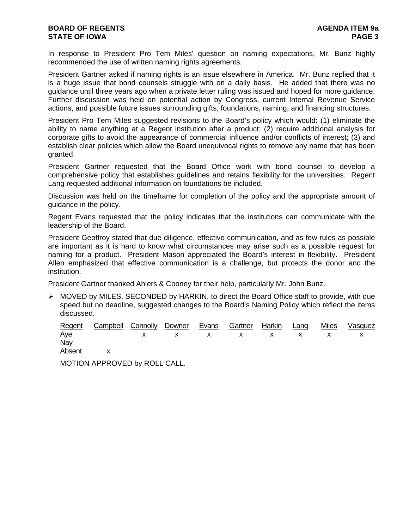# **BOARD OF REGENTS AGENUS AGENDA ITEM 9a STATE OF IOWA** PAGE 3

In response to President Pro Tem Miles' question on naming expectations, Mr. Bunz highly recommended the use of written naming rights agreements.

President Gartner asked if naming rights is an issue elsewhere in America. Mr. Bunz replied that it is a huge issue that bond counsels struggle with on a daily basis. He added that there was no guidance until three years ago when a private letter ruling was issued and hoped for more guidance. Further discussion was held on potential action by Congress, current Internal Revenue Service actions, and possible future issues surrounding gifts, foundations, naming, and financing structures.

President Pro Tem Miles suggested revisions to the Board's policy which would: (1) eliminate the ability to name anything at a Regent institution after a product; (2) require additional analysis for corporate gifts to avoid the appearance of commercial influence and/or conflicts of interest; (3) and establish clear policies which allow the Board unequivocal rights to remove any name that has been granted.

President Gartner requested that the Board Office work with bond counsel to develop a comprehensive policy that establishes guidelines and retains flexibility for the universities. Regent Lang requested additional information on foundations be included.

Discussion was held on the timeframe for completion of the policy and the appropriate amount of guidance in the policy.

Regent Evans requested that the policy indicates that the institutions can communicate with the leadership of the Board.

President Geoffroy stated that due diligence, effective communication, and as few rules as possible are important as it is hard to know what circumstances may arise such as a possible request for naming for a product. President Mason appreciated the Board's interest in flexibility. President Allen emphasized that effective communication is a challenge, but protects the donor and the institution.

President Gartner thanked Ahlers & Cooney for their help, particularly Mr. John Bunz.

¾ MOVED by MILES, SECONDED by HARKIN, to direct the Board Office staff to provide, with due speed but no deadline, suggested changes to the Board's Naming Policy which reflect the items discussed.

|          | Regent Campbell Connolly Downer Evans Gartner Harkin Lang |  |  |  | Miles Vasquez |
|----------|-----------------------------------------------------------|--|--|--|---------------|
| Aye      | x x x x x x x x x                                         |  |  |  |               |
| Nay      |                                                           |  |  |  |               |
| Absent x |                                                           |  |  |  |               |

MOTION APPROVED by ROLL CALL.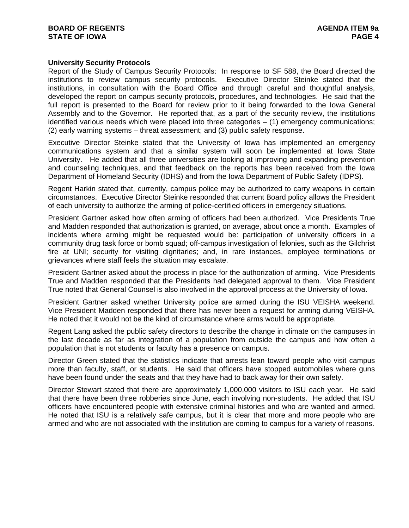## **University Security Protocols**

Report of the Study of Campus Security Protocols: In response to SF 588, the Board directed the institutions to review campus security protocols. Executive Director Steinke stated that the institutions, in consultation with the Board Office and through careful and thoughtful analysis, developed the report on campus security protocols, procedures, and technologies. He said that the full report is presented to the Board for review prior to it being forwarded to the Iowa General Assembly and to the Governor. He reported that, as a part of the security review, the institutions identified various needs which were placed into three categories – (1) emergency communications; (2) early warning systems – threat assessment; and (3) public safety response.

Executive Director Steinke stated that the University of Iowa has implemented an emergency communications system and that a similar system will soon be implemented at Iowa State University. He added that all three universities are looking at improving and expanding prevention and counseling techniques, and that feedback on the reports has been received from the Iowa Department of Homeland Security (IDHS) and from the Iowa Department of Public Safety (IDPS).

Regent Harkin stated that, currently, campus police may be authorized to carry weapons in certain circumstances. Executive Director Steinke responded that current Board policy allows the President of each university to authorize the arming of police-certified officers in emergency situations.

President Gartner asked how often arming of officers had been authorized. Vice Presidents True and Madden responded that authorization is granted, on average, about once a month. Examples of incidents where arming might be requested would be: participation of university officers in a community drug task force or bomb squad; off-campus investigation of felonies, such as the Gilchrist fire at UNI; security for visiting dignitaries; and, in rare instances, employee terminations or grievances where staff feels the situation may escalate.

President Gartner asked about the process in place for the authorization of arming. Vice Presidents True and Madden responded that the Presidents had delegated approval to them. Vice President True noted that General Counsel is also involved in the approval process at the University of Iowa.

President Gartner asked whether University police are armed during the ISU VEISHA weekend. Vice President Madden responded that there has never been a request for arming during VEISHA. He noted that it would not be the kind of circumstance where arms would be appropriate.

Regent Lang asked the public safety directors to describe the change in climate on the campuses in the last decade as far as integration of a population from outside the campus and how often a population that is not students or faculty has a presence on campus.

Director Green stated that the statistics indicate that arrests lean toward people who visit campus more than faculty, staff, or students. He said that officers have stopped automobiles where guns have been found under the seats and that they have had to back away for their own safety.

Director Stewart stated that there are approximately 1,000,000 visitors to ISU each year. He said that there have been three robberies since June, each involving non-students. He added that ISU officers have encountered people with extensive criminal histories and who are wanted and armed. He noted that ISU is a relatively safe campus, but it is clear that more and more people who are armed and who are not associated with the institution are coming to campus for a variety of reasons.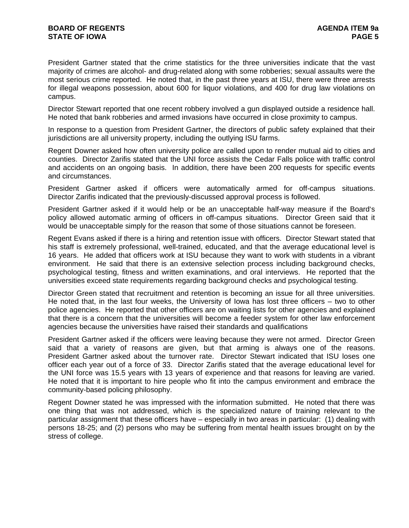President Gartner stated that the crime statistics for the three universities indicate that the vast majority of crimes are alcohol- and drug-related along with some robberies; sexual assaults were the most serious crime reported. He noted that, in the past three years at ISU, there were three arrests for illegal weapons possession, about 600 for liquor violations, and 400 for drug law violations on campus.

Director Stewart reported that one recent robbery involved a gun displayed outside a residence hall. He noted that bank robberies and armed invasions have occurred in close proximity to campus.

In response to a question from President Gartner, the directors of public safety explained that their jurisdictions are all university property, including the outlying ISU farms.

Regent Downer asked how often university police are called upon to render mutual aid to cities and counties. Director Zarifis stated that the UNI force assists the Cedar Falls police with traffic control and accidents on an ongoing basis. In addition, there have been 200 requests for specific events and circumstances.

President Gartner asked if officers were automatically armed for off-campus situations. Director Zarifis indicated that the previously-discussed approval process is followed.

President Gartner asked if it would help or be an unacceptable half-way measure if the Board's policy allowed automatic arming of officers in off-campus situations. Director Green said that it would be unacceptable simply for the reason that some of those situations cannot be foreseen.

Regent Evans asked if there is a hiring and retention issue with officers. Director Stewart stated that his staff is extremely professional, well-trained, educated, and that the average educational level is 16 years. He added that officers work at ISU because they want to work with students in a vibrant environment. He said that there is an extensive selection process including background checks, psychological testing, fitness and written examinations, and oral interviews. He reported that the universities exceed state requirements regarding background checks and psychological testing.

Director Green stated that recruitment and retention is becoming an issue for all three universities. He noted that, in the last four weeks, the University of Iowa has lost three officers – two to other police agencies. He reported that other officers are on waiting lists for other agencies and explained that there is a concern that the universities will become a feeder system for other law enforcement agencies because the universities have raised their standards and qualifications

President Gartner asked if the officers were leaving because they were not armed. Director Green said that a variety of reasons are given, but that arming is always one of the reasons. President Gartner asked about the turnover rate. Director Stewart indicated that ISU loses one officer each year out of a force of 33. Director Zarifis stated that the average educational level for the UNI force was 15.5 years with 13 years of experience and that reasons for leaving are varied. He noted that it is important to hire people who fit into the campus environment and embrace the community-based policing philosophy.

Regent Downer stated he was impressed with the information submitted. He noted that there was one thing that was not addressed, which is the specialized nature of training relevant to the particular assignment that these officers have – especially in two areas in particular: (1) dealing with persons 18-25; and (2) persons who may be suffering from mental health issues brought on by the stress of college.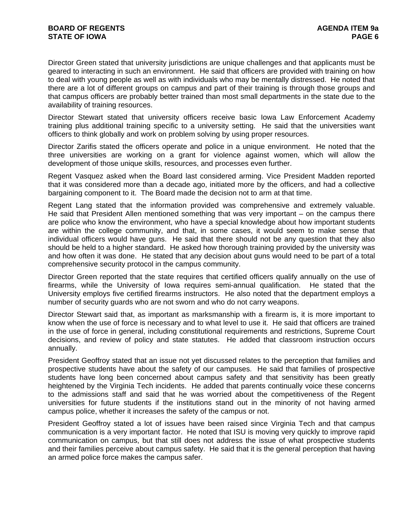Director Green stated that university jurisdictions are unique challenges and that applicants must be geared to interacting in such an environment. He said that officers are provided with training on how to deal with young people as well as with individuals who may be mentally distressed. He noted that there are a lot of different groups on campus and part of their training is through those groups and that campus officers are probably better trained than most small departments in the state due to the availability of training resources.

Director Stewart stated that university officers receive basic Iowa Law Enforcement Academy training plus additional training specific to a university setting. He said that the universities want officers to think globally and work on problem solving by using proper resources.

Director Zarifis stated the officers operate and police in a unique environment. He noted that the three universities are working on a grant for violence against women, which will allow the development of those unique skills, resources, and processes even further.

Regent Vasquez asked when the Board last considered arming. Vice President Madden reported that it was considered more than a decade ago, initiated more by the officers, and had a collective bargaining component to it. The Board made the decision not to arm at that time.

Regent Lang stated that the information provided was comprehensive and extremely valuable. He said that President Allen mentioned something that was very important – on the campus there are police who know the environment, who have a special knowledge about how important students are within the college community, and that, in some cases, it would seem to make sense that individual officers would have guns. He said that there should not be any question that they also should be held to a higher standard. He asked how thorough training provided by the university was and how often it was done. He stated that any decision about guns would need to be part of a total comprehensive security protocol in the campus community.

Director Green reported that the state requires that certified officers qualify annually on the use of firearms, while the University of Iowa requires semi-annual qualification. He stated that the University employs five certified firearms instructors. He also noted that the department employs a number of security guards who are not sworn and who do not carry weapons.

Director Stewart said that, as important as marksmanship with a firearm is, it is more important to know when the use of force is necessary and to what level to use it. He said that officers are trained in the use of force in general, including constitutional requirements and restrictions, Supreme Court decisions, and review of policy and state statutes. He added that classroom instruction occurs annually.

President Geoffroy stated that an issue not yet discussed relates to the perception that families and prospective students have about the safety of our campuses. He said that families of prospective students have long been concerned about campus safety and that sensitivity has been greatly heightened by the Virginia Tech incidents. He added that parents continually voice these concerns to the admissions staff and said that he was worried about the competitiveness of the Regent universities for future students if the institutions stand out in the minority of not having armed campus police, whether it increases the safety of the campus or not.

President Geoffroy stated a lot of issues have been raised since Virginia Tech and that campus communication is a very important factor. He noted that ISU is moving very quickly to improve rapid communication on campus, but that still does not address the issue of what prospective students and their families perceive about campus safety. He said that it is the general perception that having an armed police force makes the campus safer.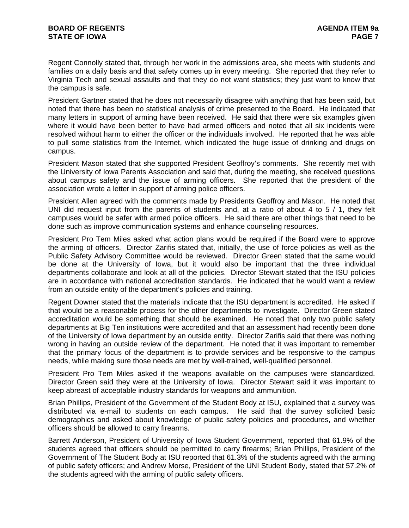Regent Connolly stated that, through her work in the admissions area, she meets with students and families on a daily basis and that safety comes up in every meeting. She reported that they refer to Virginia Tech and sexual assaults and that they do not want statistics; they just want to know that the campus is safe.

President Gartner stated that he does not necessarily disagree with anything that has been said, but noted that there has been no statistical analysis of crime presented to the Board. He indicated that many letters in support of arming have been received. He said that there were six examples given where it would have been better to have had armed officers and noted that all six incidents were resolved without harm to either the officer or the individuals involved. He reported that he was able to pull some statistics from the Internet, which indicated the huge issue of drinking and drugs on campus.

President Mason stated that she supported President Geoffroy's comments. She recently met with the University of Iowa Parents Association and said that, during the meeting, she received questions about campus safety and the issue of arming officers. She reported that the president of the association wrote a letter in support of arming police officers.

President Allen agreed with the comments made by Presidents Geoffroy and Mason. He noted that UNI did request input from the parents of students and, at a ratio of about 4 to 5 / 1, they felt campuses would be safer with armed police officers. He said there are other things that need to be done such as improve communication systems and enhance counseling resources.

President Pro Tem Miles asked what action plans would be required if the Board were to approve the arming of officers. Director Zarifis stated that, initially, the use of force policies as well as the Public Safety Advisory Committee would be reviewed. Director Green stated that the same would be done at the University of Iowa, but it would also be important that the three individual departments collaborate and look at all of the policies. Director Stewart stated that the ISU policies are in accordance with national accreditation standards. He indicated that he would want a review from an outside entity of the department's policies and training.

Regent Downer stated that the materials indicate that the ISU department is accredited. He asked if that would be a reasonable process for the other departments to investigate. Director Green stated accreditation would be something that should be examined. He noted that only two public safety departments at Big Ten institutions were accredited and that an assessment had recently been done of the University of Iowa department by an outside entity. Director Zarifis said that there was nothing wrong in having an outside review of the department. He noted that it was important to remember that the primary focus of the department is to provide services and be responsive to the campus needs, while making sure those needs are met by well-trained, well-qualified personnel.

President Pro Tem Miles asked if the weapons available on the campuses were standardized. Director Green said they were at the University of Iowa. Director Stewart said it was important to keep abreast of acceptable industry standards for weapons and ammunition.

Brian Phillips, President of the Government of the Student Body at ISU, explained that a survey was distributed via e-mail to students on each campus. He said that the survey solicited basic demographics and asked about knowledge of public safety policies and procedures, and whether officers should be allowed to carry firearms.

Barrett Anderson, President of University of Iowa Student Government, reported that 61.9% of the students agreed that officers should be permitted to carry firearms; Brian Phillips, President of the Government of The Student Body at ISU reported that 61.3% of the students agreed with the arming of public safety officers; and Andrew Morse, President of the UNI Student Body, stated that 57.2% of the students agreed with the arming of public safety officers.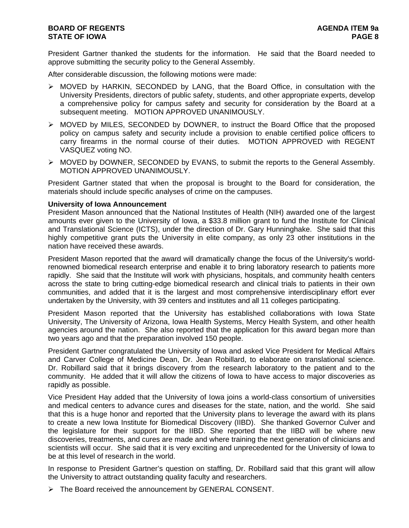President Gartner thanked the students for the information. He said that the Board needed to approve submitting the security policy to the General Assembly.

After considerable discussion, the following motions were made:

- ¾ MOVED by HARKIN, SECONDED by LANG, that the Board Office, in consultation with the University Presidents, directors of public safety, students, and other appropriate experts, develop a comprehensive policy for campus safety and security for consideration by the Board at a subsequent meeting. MOTION APPROVED UNANIMOUSLY.
- $\triangleright$  MOVED by MILES, SECONDED by DOWNER, to instruct the Board Office that the proposed policy on campus safety and security include a provision to enable certified police officers to carry firearms in the normal course of their duties. MOTION APPROVED with REGENT VASQUEZ voting NO.
- ¾ MOVED by DOWNER, SECONDED by EVANS, to submit the reports to the General Assembly. MOTION APPROVED UNANIMOUSLY.

President Gartner stated that when the proposal is brought to the Board for consideration, the materials should include specific analyses of crime on the campuses.

## **University of Iowa Announcement**

President Mason announced that the National Institutes of Health (NIH) awarded one of the largest amounts ever given to the University of Iowa, a \$33.8 million grant to fund the Institute for Clinical and Translational Science (ICTS), under the direction of Dr. Gary Hunninghake. She said that this highly competitive grant puts the University in elite company, as only 23 other institutions in the nation have received these awards.

President Mason reported that the award will dramatically change the focus of the University's worldrenowned biomedical research enterprise and enable it to bring laboratory research to patients more rapidly. She said that the Institute will work with physicians, hospitals, and community health centers across the state to bring cutting-edge biomedical research and clinical trials to patients in their own communities, and added that it is the largest and most comprehensive interdisciplinary effort ever undertaken by the University, with 39 centers and institutes and all 11 colleges participating.

President Mason reported that the University has established collaborations with Iowa State University, The University of Arizona, Iowa Health Systems, Mercy Health System, and other health agencies around the nation. She also reported that the application for this award began more than two years ago and that the preparation involved 150 people.

President Gartner congratulated the University of Iowa and asked Vice President for Medical Affairs and Carver College of Medicine Dean, Dr. Jean Robillard, to elaborate on translational science. Dr. Robillard said that it brings discovery from the research laboratory to the patient and to the community. He added that it will allow the citizens of Iowa to have access to major discoveries as rapidly as possible.

Vice President Hay added that the University of Iowa joins a world-class consortium of universities and medical centers to advance cures and diseases for the state, nation, and the world. She said that this is a huge honor and reported that the University plans to leverage the award with its plans to create a new Iowa Institute for Biomedical Discovery (IIBD). She thanked Governor Culver and the legislature for their support for the IIBD. She reported that the IIBD will be where new discoveries, treatments, and cures are made and where training the next generation of clinicians and scientists will occur. She said that it is very exciting and unprecedented for the University of Iowa to be at this level of research in the world.

In response to President Gartner's question on staffing, Dr. Robillard said that this grant will allow the University to attract outstanding quality faculty and researchers.

¾ The Board received the announcement by GENERAL CONSENT.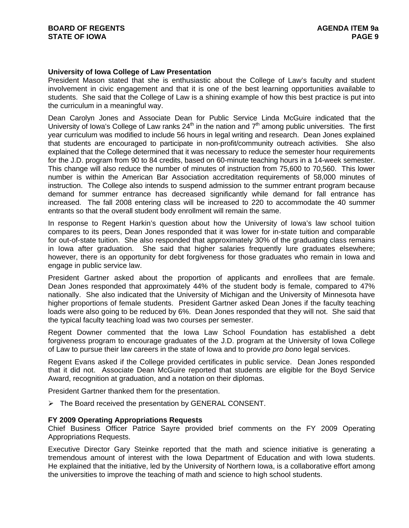## **University of Iowa College of Law Presentation**

President Mason stated that she is enthusiastic about the College of Law's faculty and student involvement in civic engagement and that it is one of the best learning opportunities available to students. She said that the College of Law is a shining example of how this best practice is put into the curriculum in a meaningful way.

Dean Carolyn Jones and Associate Dean for Public Service Linda McGuire indicated that the University of Iowa's College of Law ranks  $24<sup>th</sup>$  in the nation and  $7<sup>th</sup>$  among public universities. The first year curriculum was modified to include 56 hours in legal writing and research. Dean Jones explained that students are encouraged to participate in non-profit/community outreach activities. She also explained that the College determined that it was necessary to reduce the semester hour requirements for the J.D. program from 90 to 84 credits, based on 60-minute teaching hours in a 14-week semester. This change will also reduce the number of minutes of instruction from 75,600 to 70,560. This lower number is within the American Bar Association accreditation requirements of 58,000 minutes of instruction. The College also intends to suspend admission to the summer entrant program because demand for summer entrance has decreased significantly while demand for fall entrance has increased. The fall 2008 entering class will be increased to 220 to accommodate the 40 summer entrants so that the overall student body enrollment will remain the same.

In response to Regent Harkin's question about how the University of Iowa's law school tuition compares to its peers, Dean Jones responded that it was lower for in-state tuition and comparable for out-of-state tuition. She also responded that approximately 30% of the graduating class remains in Iowa after graduation. She said that higher salaries frequently lure graduates elsewhere; however, there is an opportunity for debt forgiveness for those graduates who remain in Iowa and engage in public service law.

President Gartner asked about the proportion of applicants and enrollees that are female. Dean Jones responded that approximately 44% of the student body is female, compared to 47% nationally. She also indicated that the University of Michigan and the University of Minnesota have higher proportions of female students. President Gartner asked Dean Jones if the faculty teaching loads were also going to be reduced by 6%. Dean Jones responded that they will not. She said that the typical faculty teaching load was two courses per semester.

Regent Downer commented that the Iowa Law School Foundation has established a debt forgiveness program to encourage graduates of the J.D. program at the University of Iowa College of Law to pursue their law careers in the state of Iowa and to provide *pro bono* legal services.

Regent Evans asked if the College provided certificates in public service. Dean Jones responded that it did not. Associate Dean McGuire reported that students are eligible for the Boyd Service Award, recognition at graduation, and a notation on their diplomas.

President Gartner thanked them for the presentation.

¾ The Board received the presentation by GENERAL CONSENT.

#### **FY 2009 Operating Appropriations Requests**

Chief Business Officer Patrice Sayre provided brief comments on the FY 2009 Operating Appropriations Requests.

Executive Director Gary Steinke reported that the math and science initiative is generating a tremendous amount of interest with the Iowa Department of Education and with Iowa students. He explained that the initiative, led by the University of Northern Iowa, is a collaborative effort among the universities to improve the teaching of math and science to high school students.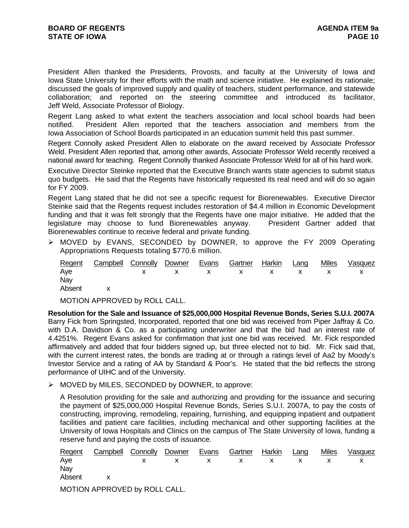President Allen thanked the Presidents, Provosts, and faculty at the University of Iowa and Iowa State University for their efforts with the math and science initiative. He explained its rationale; discussed the goals of improved supply and quality of teachers, student performance, and statewide collaboration; and reported on the steering committee and introduced its facilitator, Jeff Weld, Associate Professor of Biology.

Regent Lang asked to what extent the teachers association and local school boards had been notified. President Allen reported that the teachers association and members from the Iowa Association of School Boards participated in an education summit held this past summer.

Regent Connolly asked President Allen to elaborate on the award received by Associate Professor Weld. President Allen reported that, among other awards, Associate Professor Weld recently received a national award for teaching. Regent Connolly thanked Associate Professor Weld for all of his hard work.

Executive Director Steinke reported that the Executive Branch wants state agencies to submit status quo budgets. He said that the Regents have historically requested its real need and will do so again for FY 2009.

Regent Lang stated that he did not see a specific request for Biorenewables. Executive Director Steinke said that the Regents request includes restoration of \$4.4 million in Economic Development funding and that it was felt strongly that the Regents have one major initiative. He added that the legislature may choose to fund Biorenewables anyway. President Gartner added that Biorenewables continue to receive federal and private funding.

¾ MOVED by EVANS, SECONDED by DOWNER, to approve the FY 2009 Operating Appropriations Requests totaling \$770.6 million.

|          | Regent Campbell Connolly Downer Evans Gartner Harkin Lang |  |  |  | Miles Vasquez |
|----------|-----------------------------------------------------------|--|--|--|---------------|
| Aye      | x x x x x x x x x                                         |  |  |  |               |
| Nay      |                                                           |  |  |  |               |
| Absent x |                                                           |  |  |  |               |

MOTION APPROVED by ROLL CALL.

**Resolution for the Sale and Issuance of \$25,000,000 Hospital Revenue Bonds, Series S.U.I. 2007A** Barry Fick from Springsted, Incorporated, reported that one bid was received from Piper Jaffray & Co. with D.A. Davidson & Co. as a participating underwriter and that the bid had an interest rate of 4.4251%. Regent Evans asked for confirmation that just one bid was received. Mr. Fick responded affirmatively and added that four bidders signed up, but three elected not to bid. Mr. Fick said that, with the current interest rates, the bonds are trading at or through a ratings level of Aa2 by Moody's Investor Service and a rating of AA by Standard & Poor's. He stated that the bid reflects the strong performance of UIHC and of the University.

¾ MOVED by MILES, SECONDED by DOWNER, to approve:

A Resolution providing for the sale and authorizing and providing for the issuance and securing the payment of \$25,000,000 Hospital Revenue Bonds, Series S.U.I. 2007A, to pay the costs of constructing, improving, remodeling, repairing, furnishing, and equipping inpatient and outpatient facilities and patient care facilities, including mechanical and other supporting facilities at the University of Iowa Hospitals and Clinics on the campus of The State University of Iowa, funding a reserve fund and paying the costs of issuance.

| Regent | Campbell Connolly Downer      |  | Evans | Gartner | Harkin | Lang | <b>Miles</b> | Vasquez |
|--------|-------------------------------|--|-------|---------|--------|------|--------------|---------|
| Aye    |                               |  |       |         |        |      |              |         |
| Nay    |                               |  |       |         |        |      |              |         |
| Absent |                               |  |       |         |        |      |              |         |
|        | MOTION APPROVED by ROLL CALL. |  |       |         |        |      |              |         |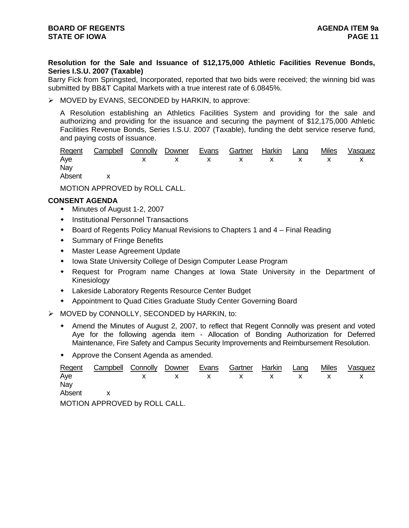# **Resolution for the Sale and Issuance of \$12,175,000 Athletic Facilities Revenue Bonds, Series I.S.U. 2007 (Taxable)**

Barry Fick from Springsted, Incorporated, reported that two bids were received; the winning bid was submitted by BB&T Capital Markets with a true interest rate of 6.0845%.

¾ MOVED by EVANS, SECONDED by HARKIN, to approve:

A Resolution establishing an Athletics Facilities System and providing for the sale and authorizing and providing for the issuance and securing the payment of \$12,175,000 Athletic Facilities Revenue Bonds, Series I.S.U. 2007 (Taxable), funding the debt service reserve fund, and paying costs of issuance.

|          | Regent Campbell Connolly Downer Evans Gartner Harkin Lang |  |  |  | Miles Vasquez |
|----------|-----------------------------------------------------------|--|--|--|---------------|
| Ave      | x x x x x x x x x                                         |  |  |  |               |
| Nay      |                                                           |  |  |  |               |
| Absent x |                                                           |  |  |  |               |

MOTION APPROVED by ROLL CALL.

# **CONSENT AGENDA**

- Minutes of August 1-2, 2007
- **•** Institutional Personnel Transactions
- Board of Regents Policy Manual Revisions to Chapters 1 and 4 Final Reading
- Summary of Fringe Benefits
- Master Lease Agreement Update
- Iowa State University College of Design Computer Lease Program
- Request for Program name Changes at Iowa State University in the Department of Kinesiology
- Lakeside Laboratory Regents Resource Center Budget
- Appointment to Quad Cities Graduate Study Center Governing Board
- ¾ MOVED by CONNOLLY, SECONDED by HARKIN, to:
	- Amend the Minutes of August 2, 2007, to reflect that Regent Connolly was present and voted Aye for the following agenda item - Allocation of Bonding Authorization for Deferred Maintenance, Fire Safety and Campus Security Improvements and Reimbursement Resolution.
	- Approve the Consent Agenda as amended.

| Regent | Campbell Connolly             | Downer | Evans | Gartner | Harkin | Lang | <b>Miles</b> | Vasquez |
|--------|-------------------------------|--------|-------|---------|--------|------|--------------|---------|
| Ave    |                               |        |       |         |        |      |              |         |
| Nav    |                               |        |       |         |        |      |              |         |
| Absent |                               |        |       |         |        |      |              |         |
|        | MOTION APPROVED by ROLL CALL. |        |       |         |        |      |              |         |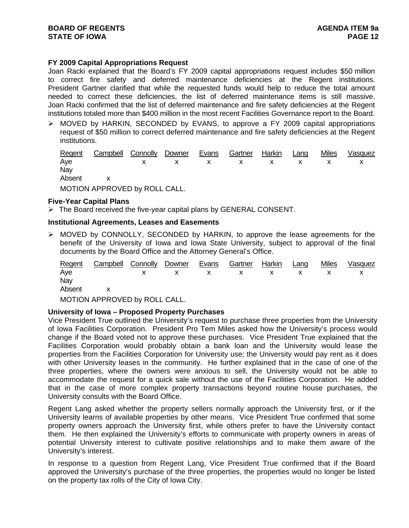# **FY 2009 Capital Appropriations Request**

Joan Racki explained that the Board's FY 2009 capital appropriations request includes \$50 million to correct fire safety and deferred maintenance deficiencies at the Regent institutions. President Gartner clarified that while the requested funds would help to reduce the total amount needed to correct these deficiencies, the list of deferred maintenance items is still massive. Joan Racki confirmed that the list of deferred maintenance and fire safety deficiencies at the Regent institutions totaled more than \$400 million in the most recent Facilities Governance report to the Board.

¾ MOVED by HARKIN, SECONDED by EVANS, to approve a FY 2009 capital appropriations request of \$50 million to correct deferred maintenance and fire safety deficiencies at the Regent institutions.

| Regent | <b>Campbell Connolly Downer</b> |  | Evans | Gartner Harkin | Lang | Miles | Vasquez |
|--------|---------------------------------|--|-------|----------------|------|-------|---------|
| Aye    |                                 |  |       |                |      |       |         |
| Nay    |                                 |  |       |                |      |       |         |
| Absent |                                 |  |       |                |      |       |         |
|        | MOTION APPROVED by ROLL CALL.   |  |       |                |      |       |         |

## **Five-Year Capital Plans**

 $\triangleright$  The Board received the five-year capital plans by GENERAL CONSENT.

## **Institutional Agreements, Leases and Easements**

¾ MOVED by CONNOLLY, SECONDED by HARKIN, to approve the lease agreements for the benefit of the University of Iowa and Iowa State University, subject to approval of the final documents by the Board Office and the Attorney General's Office.

| <b>Regent</b> | <b>Campbell Connolly Downer</b> |  | Evans | Gartner     | Harkin | Lang | <b>Miles</b> | Vasquez |
|---------------|---------------------------------|--|-------|-------------|--------|------|--------------|---------|
| Aye           |                                 |  |       | $X$ x x x x |        |      |              |         |
| Nay           |                                 |  |       |             |        |      |              |         |
| Absent        |                                 |  |       |             |        |      |              |         |
|               | MOTION ADDROVED by ROLL CALL    |  |       |             |        |      |              |         |

MOTION APPROVED by ROLL CALL.

## **University of Iowa – Proposed Property Purchases**

Vice President True outlined the University's request to purchase three properties from the University of Iowa Facilities Corporation. President Pro Tem Miles asked how the University's process would change if the Board voted not to approve these purchases. Vice President True explained that the Facilities Corporation would probably obtain a bank loan and the University would lease the properties from the Facilities Corporation for University use; the University would pay rent as it does with other University leases in the community. He further explained that in the case of one of the three properties, where the owners were anxious to sell, the University would not be able to accommodate the request for a quick sale without the use of the Facilities Corporation. He added that in the case of more complex property transactions beyond routine house purchases, the University consults with the Board Office.

Regent Lang asked whether the property sellers normally approach the University first, or if the University learns of available properties by other means. Vice President True confirmed that some property owners approach the University first, while others prefer to have the University contact them. He then explained the University's efforts to communicate with property owners in areas of potential University interest to cultivate positive relationships and to make them aware of the University's interest.

In response to a question from Regent Lang, Vice President True confirmed that if the Board approved the University's purchase of the three properties, the properties would no longer be listed on the property tax rolls of the City of Iowa City.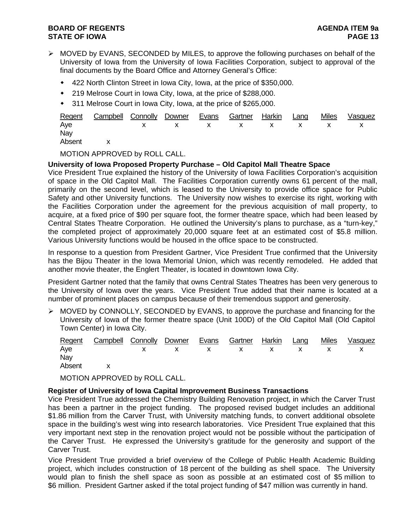- $\triangleright$  MOVED by EVANS, SECONDED by MILES, to approve the following purchases on behalf of the University of Iowa from the University of Iowa Facilities Corporation, subject to approval of the final documents by the Board Office and Attorney General's Office:
	- 422 North Clinton Street in Iowa City, Iowa, at the price of \$350,000.
	- 219 Melrose Court in Iowa City, Iowa, at the price of \$288,000.
	- 311 Melrose Court in Iowa City, Iowa, at the price of \$265,000.

|          | Regent Campbell Connolly Downer Evans Gartner Harkin Lang |  |  |  | Miles Vasquez |
|----------|-----------------------------------------------------------|--|--|--|---------------|
| Aye      | x x x x x x x x x                                         |  |  |  |               |
| Nay      |                                                           |  |  |  |               |
| Absent x |                                                           |  |  |  |               |

MOTION APPROVED by ROLL CALL.

# **University of Iowa Proposed Property Purchase – Old Capitol Mall Theatre Space**

Vice President True explained the history of the University of Iowa Facilities Corporation's acquisition of space in the Old Capitol Mall. The Facilities Corporation currently owns 61 percent of the mall, primarily on the second level, which is leased to the University to provide office space for Public Safety and other University functions. The University now wishes to exercise its right, working with the Facilities Corporation under the agreement for the previous acquisition of mall property, to acquire, at a fixed price of \$90 per square foot, the former theatre space, which had been leased by Central States Theatre Corporation. He outlined the University's plans to purchase, as a "turn-key," the completed project of approximately 20,000 square feet at an estimated cost of \$5.8 million. Various University functions would be housed in the office space to be constructed.

In response to a question from President Gartner, Vice President True confirmed that the University has the Bijou Theater in the Iowa Memorial Union, which was recently remodeled. He added that another movie theater, the Englert Theater, is located in downtown Iowa City.

President Gartner noted that the family that owns Central States Theatres has been very generous to the University of Iowa over the years. Vice President True added that their name is located at a number of prominent places on campus because of their tremendous support and generosity.

¾ MOVED by CONNOLLY, SECONDED by EVANS, to approve the purchase and financing for the University of Iowa of the former theatre space (Unit 100D) of the Old Capitol Mall (Old Capitol Town Center) in Iowa City.

|          | Regent Campbell Connolly Downer Evans Gartner Harkin Lang |  |  |  | Miles Vasquez |
|----------|-----------------------------------------------------------|--|--|--|---------------|
| Aye      | x x x x x x x x x                                         |  |  |  |               |
| Nay      |                                                           |  |  |  |               |
| Absent x |                                                           |  |  |  |               |

MOTION APPROVED by ROLL CALL.

## **Register of University of Iowa Capital Improvement Business Transactions**

Vice President True addressed the Chemistry Building Renovation project, in which the Carver Trust has been a partner in the project funding. The proposed revised budget includes an additional \$1.86 million from the Carver Trust, with University matching funds, to convert additional obsolete space in the building's west wing into research laboratories. Vice President True explained that this very important next step in the renovation project would not be possible without the participation of the Carver Trust. He expressed the University's gratitude for the generosity and support of the Carver Trust.

Vice President True provided a brief overview of the College of Public Health Academic Building project, which includes construction of 18 percent of the building as shell space. The University would plan to finish the shell space as soon as possible at an estimated cost of \$5 million to \$6 million. President Gartner asked if the total project funding of \$47 million was currently in hand.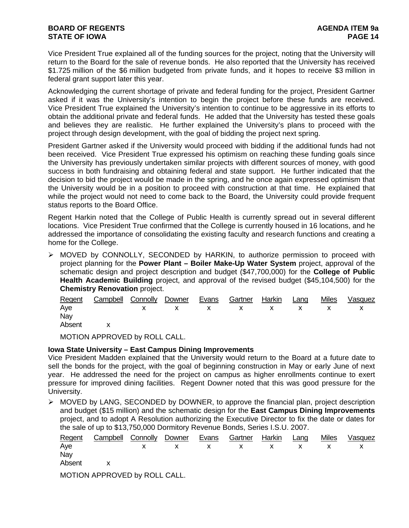# **BOARD OF REGENTS** AGENER AGENERAL MEDICINE OF REGENTS **STATE OF IOWA PAGE 14**

Vice President True explained all of the funding sources for the project, noting that the University will return to the Board for the sale of revenue bonds. He also reported that the University has received \$1.725 million of the \$6 million budgeted from private funds, and it hopes to receive \$3 million in federal grant support later this year.

Acknowledging the current shortage of private and federal funding for the project, President Gartner asked if it was the University's intention to begin the project before these funds are received. Vice President True explained the University's intention to continue to be aggressive in its efforts to obtain the additional private and federal funds. He added that the University has tested these goals and believes they are realistic. He further explained the University's plans to proceed with the project through design development, with the goal of bidding the project next spring.

President Gartner asked if the University would proceed with bidding if the additional funds had not been received. Vice President True expressed his optimism on reaching these funding goals since the University has previously undertaken similar projects with different sources of money, with good success in both fundraising and obtaining federal and state support. He further indicated that the decision to bid the project would be made in the spring, and he once again expressed optimism that the University would be in a position to proceed with construction at that time. He explained that while the project would not need to come back to the Board, the University could provide frequent status reports to the Board Office.

Regent Harkin noted that the College of Public Health is currently spread out in several different locations. Vice President True confirmed that the College is currently housed in 16 locations, and he addressed the importance of consolidating the existing faculty and research functions and creating a home for the College.

¾ MOVED by CONNOLLY, SECONDED by HARKIN, to authorize permission to proceed with project planning for the **Power Plant – Boiler Make-Up Water System** project, approval of the schematic design and project description and budget (\$47,700,000) for the **College of Public Health Academic Building** project, and approval of the revised budget (\$45,104,500) for the **Chemistry Renovation** project.

|          | Regent Campbell Connolly Downer Evans Gartner Harkin Lang |  |  |  | Miles | Vasquez |
|----------|-----------------------------------------------------------|--|--|--|-------|---------|
| Aye      | x x x x x x x x x                                         |  |  |  |       |         |
| Nay      |                                                           |  |  |  |       |         |
| Absent x |                                                           |  |  |  |       |         |

MOTION APPROVED by ROLL CALL.

# **Iowa State University – East Campus Dining Improvements**

Vice President Madden explained that the University would return to the Board at a future date to sell the bonds for the project, with the goal of beginning construction in May or early June of next year. He addressed the need for the project on campus as higher enrollments continue to exert pressure for improved dining facilities. Regent Downer noted that this was good pressure for the University.

 $\triangleright$  MOVED by LANG, SECONDED by DOWNER, to approve the financial plan, project description and budget (\$15 million) and the schematic design for the **East Campus Dining Improvements** project, and to adopt A Resolution authorizing the Executive Director to fix the date or dates for the sale of up to \$13,750,000 Dormitory Revenue Bonds, Series I.S.U. 2007.

|        | Regent Campbell Connolly Downer Evans Gartner Harkin Lang |  |  |  | Miles Vasquez |
|--------|-----------------------------------------------------------|--|--|--|---------------|
| Aye    | X X X X X X X X X                                         |  |  |  |               |
| Nay    |                                                           |  |  |  |               |
| Absent |                                                           |  |  |  |               |

MOTION APPROVED by ROLL CALL.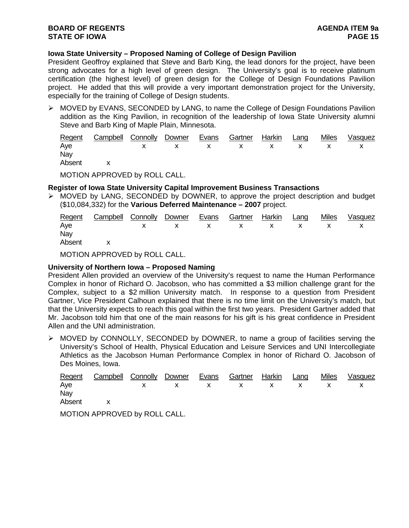## **Iowa State University – Proposed Naming of College of Design Pavilion**

President Geoffroy explained that Steve and Barb King, the lead donors for the project, have been strong advocates for a high level of green design. The University's goal is to receive platinum certification (the highest level) of green design for the College of Design Foundations Pavilion project. He added that this will provide a very important demonstration project for the University, especially for the training of College of Design students.

 $\triangleright$  MOVED by EVANS, SECONDED by LANG, to name the College of Design Foundations Pavilion addition as the King Pavilion, in recognition of the leadership of Iowa State University alumni Steve and Barb King of Maple Plain, Minnesota.

|        | Regent Campbell Connolly Downer Evans Gartner Harkin Lang |  |  |  | Miles Vasquez |
|--------|-----------------------------------------------------------|--|--|--|---------------|
| Aye    | x x x x x x x x x                                         |  |  |  |               |
| Nay    |                                                           |  |  |  |               |
| Absent |                                                           |  |  |  |               |

MOTION APPROVED by ROLL CALL.

## **Register of Iowa State University Capital Improvement Business Transactions**

 $\triangleright$  MOVED by LANG, SECONDED by DOWNER, to approve the project description and budget (\$10,084,332) for the **Various Deferred Maintenance – 2007** project.

|        | Regent Campbell Connolly Downer Evans Gartner Harkin Lang Miles Vasquez |  |  |  |  |
|--------|-------------------------------------------------------------------------|--|--|--|--|
| Aye    | x x x x x x x x x                                                       |  |  |  |  |
| Nay    |                                                                         |  |  |  |  |
| Absent |                                                                         |  |  |  |  |

MOTION APPROVED by ROLL CALL.

## **University of Northern Iowa – Proposed Naming**

President Allen provided an overview of the University's request to name the Human Performance Complex in honor of Richard O. Jacobson, who has committed a \$3 million challenge grant for the Complex, subject to a \$2 million University match. In response to a question from President Gartner, Vice President Calhoun explained that there is no time limit on the University's match, but that the University expects to reach this goal within the first two years. President Gartner added that Mr. Jacobson told him that one of the main reasons for his gift is his great confidence in President Allen and the UNI administration.

 $\triangleright$  MOVED by CONNOLLY, SECONDED by DOWNER, to name a group of facilities serving the University's School of Health, Physical Education and Leisure Services and UNI Intercollegiate Athletics as the Jacobson Human Performance Complex in honor of Richard O. Jacobson of Des Moines, Iowa.

|        | Regent Campbell Connolly Downer Evans Gartner Harkin Lang |  |  |  | Miles | Vasquez |
|--------|-----------------------------------------------------------|--|--|--|-------|---------|
| Aye    | x x x x x x x x x                                         |  |  |  |       |         |
| Nay    |                                                           |  |  |  |       |         |
| Absent |                                                           |  |  |  |       |         |

MOTION APPROVED by ROLL CALL.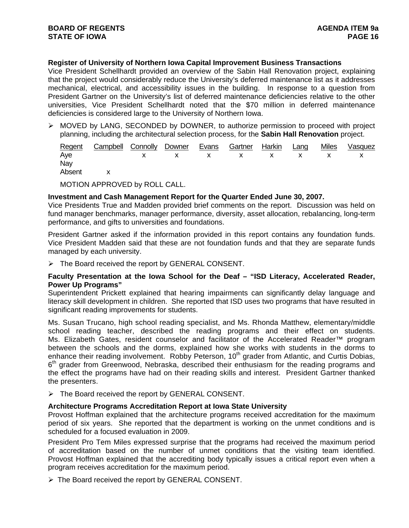# **Register of University of Northern Iowa Capital Improvement Business Transactions**

Vice President Schellhardt provided an overview of the Sabin Hall Renovation project, explaining that the project would considerably reduce the University's deferred maintenance list as it addresses mechanical, electrical, and accessibility issues in the building. In response to a question from President Gartner on the University's list of deferred maintenance deficiencies relative to the other universities, Vice President Schellhardt noted that the \$70 million in deferred maintenance deficiencies is considered large to the University of Northern Iowa.

¾ MOVED by LANG, SECONDED by DOWNER, to authorize permission to proceed with project planning, including the architectural selection process, for the **Sabin Hall Renovation** project.

|          | <u>Regent Campbell Connolly Downer Evans Gartner Harkin Lang</u> |  |  |  | <u>Miles Vasquez</u> |
|----------|------------------------------------------------------------------|--|--|--|----------------------|
| Aye      | x x x x x x x x x                                                |  |  |  |                      |
| Nay      |                                                                  |  |  |  |                      |
| Absent x |                                                                  |  |  |  |                      |

MOTION APPROVED by ROLL CALL.

## **Investment and Cash Management Report for the Quarter Ended June 30, 2007.**

Vice Presidents True and Madden provided brief comments on the report. Discussion was held on fund manager benchmarks, manager performance, diversity, asset allocation, rebalancing, long-term performance, and gifts to universities and foundations.

President Gartner asked if the information provided in this report contains any foundation funds. Vice President Madden said that these are not foundation funds and that they are separate funds managed by each university.

¾ The Board received the report by GENERAL CONSENT.

## **Faculty Presentation at the Iowa School for the Deaf – "ISD Literacy, Accelerated Reader, Power Up Programs"**

Superintendent Prickett explained that hearing impairments can significantly delay language and literacy skill development in children. She reported that ISD uses two programs that have resulted in significant reading improvements for students.

Ms. Susan Trucano, high school reading specialist, and Ms. Rhonda Matthew, elementary/middle school reading teacher, described the reading programs and their effect on students. Ms. Elizabeth Gates, resident counselor and facilitator of the Accelerated Reader™ program between the schools and the dorms, explained how she works with students in the dorms to enhance their reading involvement. Robby Peterson, 10<sup>th</sup> grader from Atlantic, and Curtis Dobias,  $6<sup>th</sup>$  grader from Greenwood, Nebraska, described their enthusiasm for the reading programs and the effect the programs have had on their reading skills and interest. President Gartner thanked the presenters.

¾ The Board received the report by GENERAL CONSENT.

## **Architecture Programs Accreditation Report at Iowa State University**

Provost Hoffman explained that the architecture programs received accreditation for the maximum period of six years. She reported that the department is working on the unmet conditions and is scheduled for a focused evaluation in 2009.

President Pro Tem Miles expressed surprise that the programs had received the maximum period of accreditation based on the number of unmet conditions that the visiting team identified. Provost Hoffman explained that the accrediting body typically issues a critical report even when a program receives accreditation for the maximum period.

¾ The Board received the report by GENERAL CONSENT.